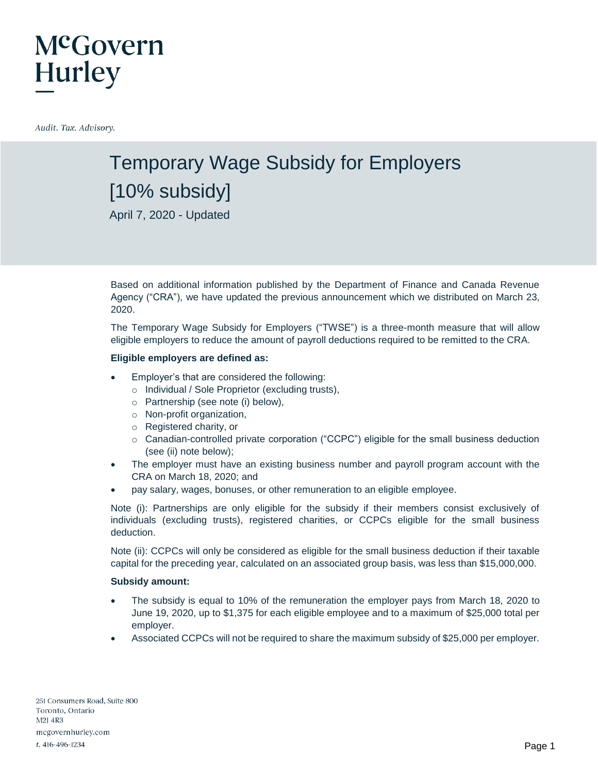### McGovern **Hurley**

Audit. Tax. Advisory.

### Temporary Wage Subsidy for Employers [10% subsidy]

April 7, 2020 - Updated

Based on additional information published by the Department of Finance and Canada Revenue Agency ("CRA"), we have updated the previous announcement which we distributed on March 23, 2020.

The Temporary Wage Subsidy for Employers ("TWSE") is a three-month measure that will allow eligible employers to reduce the amount of payroll deductions required to be remitted to the CRA.

#### **Eligible employers are defined as:**

- Employer's that are considered the following:
	- o Individual / Sole Proprietor (excluding trusts),
	- o Partnership (see note (i) below),
	- o Non-profit organization,
	- o Registered charity, or
	- o Canadian-controlled private corporation ("CCPC") eligible for the small business deduction (see (ii) note below);
- The employer must have an existing business number and payroll program account with the CRA on March 18, 2020; and
- pay salary, wages, bonuses, or other remuneration to an eligible employee.

Note (i): Partnerships are only eligible for the subsidy if their members consist exclusively of individuals (excluding trusts), registered charities, or CCPCs eligible for the small business deduction.

Note (ii): CCPCs will only be considered as eligible for the small business deduction if their taxable capital for the preceding year, calculated on an associated group basis, was less than \$15,000,000.

#### **Subsidy amount:**

- The subsidy is equal to 10% of the remuneration the employer pays from March 18, 2020 to June 19, 2020, up to \$1,375 for each eligible employee and to a maximum of \$25,000 total per employer.
- Associated CCPCs will not be required to share the maximum subsidy of \$25,000 per employer.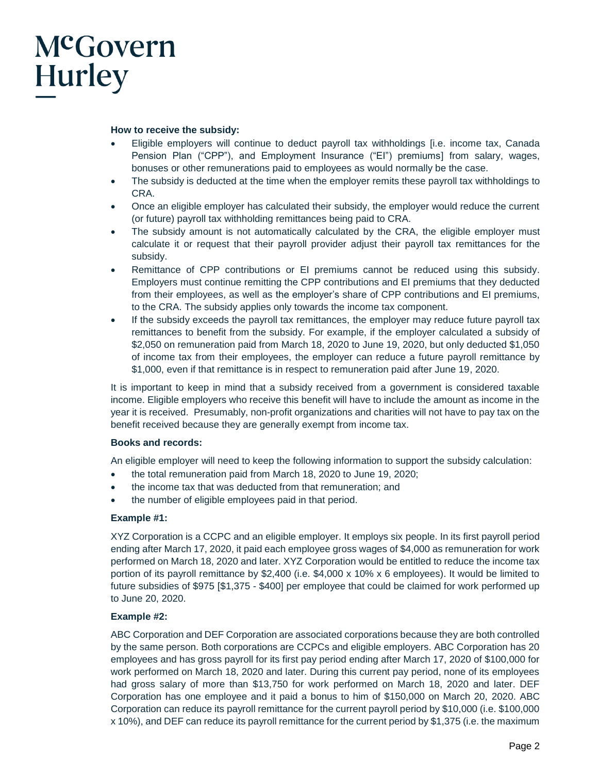## McGovern Hurley

#### **How to receive the subsidy:**

- Eligible employers will continue to deduct payroll tax withholdings [i.e. income tax, Canada Pension Plan ("CPP"), and Employment Insurance ("EI") premiums] from salary, wages, bonuses or other remunerations paid to employees as would normally be the case.
- The subsidy is deducted at the time when the employer remits these payroll tax withholdings to CRA.
- Once an eligible employer has calculated their subsidy, the employer would reduce the current (or future) payroll tax withholding remittances being paid to CRA.
- The subsidy amount is not automatically calculated by the CRA, the eligible employer must calculate it or request that their payroll provider adjust their payroll tax remittances for the subsidy.
- Remittance of CPP contributions or EI premiums cannot be reduced using this subsidy. Employers must continue remitting the CPP contributions and EI premiums that they deducted from their employees, as well as the employer's share of CPP contributions and EI premiums, to the CRA. The subsidy applies only towards the income tax component.
- If the subsidy exceeds the payroll tax remittances, the employer may reduce future payroll tax remittances to benefit from the subsidy. For example, if the employer calculated a subsidy of \$2,050 on remuneration paid from March 18, 2020 to June 19, 2020, but only deducted \$1,050 of income tax from their employees, the employer can reduce a future payroll remittance by \$1,000, even if that remittance is in respect to remuneration paid after June 19, 2020.

It is important to keep in mind that a subsidy received from a government is considered taxable income. Eligible employers who receive this benefit will have to include the amount as income in the year it is received. Presumably, non-profit organizations and charities will not have to pay tax on the benefit received because they are generally exempt from income tax.

#### **Books and records:**

An eligible employer will need to keep the following information to support the subsidy calculation:

- the total remuneration paid from March 18, 2020 to June 19, 2020;
- the income tax that was deducted from that remuneration; and
- the number of eligible employees paid in that period.

#### **Example #1:**

XYZ Corporation is a CCPC and an eligible employer. It employs six people. In its first payroll period ending after March 17, 2020, it paid each employee gross wages of \$4,000 as remuneration for work performed on March 18, 2020 and later. XYZ Corporation would be entitled to reduce the income tax portion of its payroll remittance by \$2,400 (i.e. \$4,000 x 10% x 6 employees). It would be limited to future subsidies of \$975 [\$1,375 - \$400] per employee that could be claimed for work performed up to June 20, 2020.

#### **Example #2:**

ABC Corporation and DEF Corporation are associated corporations because they are both controlled by the same person. Both corporations are CCPCs and eligible employers. ABC Corporation has 20 employees and has gross payroll for its first pay period ending after March 17, 2020 of \$100,000 for work performed on March 18, 2020 and later. During this current pay period, none of its employees had gross salary of more than \$13,750 for work performed on March 18, 2020 and later. DEF Corporation has one employee and it paid a bonus to him of \$150,000 on March 20, 2020. ABC Corporation can reduce its payroll remittance for the current payroll period by \$10,000 (i.e. \$100,000 x 10%), and DEF can reduce its payroll remittance for the current period by \$1,375 (i.e. the maximum